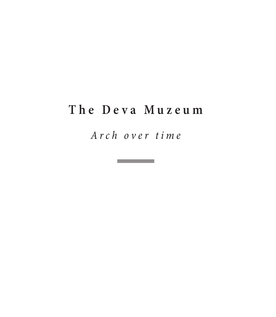#### **The Deva Muzeum**

*Arch over time*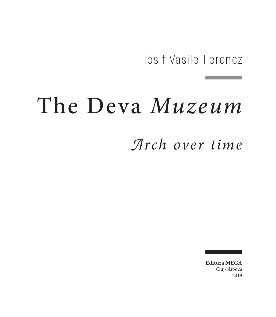Iosif Vasile Ferencz

# The Deva *Muzeum*

### *Arch over time*

**Editura MEGA** Cluj‑Napoca 2019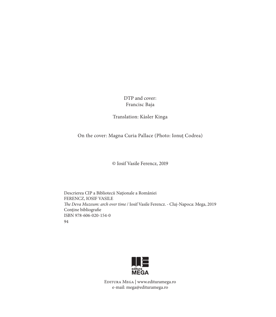DTP and cover: Francisc Baja

Translation: Kàsler Kinga

On the cover: Magna Curia Pallace (Photo: Ionuț Codrea)

© Iosif Vasile Ferencz, 2019

Descrierea CIP a Bibliotecii Naţionale a României FERENCZ, IOSIF VASILE *The Deva Muzeum: arch over time* / Iosif Vasile Ferencz. - Cluj-Napoca: Mega, 2019 Conține bibliografie ISBN 978-606-020-154-0 94



Editura Mega | www.edituramega.ro e‑mail: mega@edituramega.ro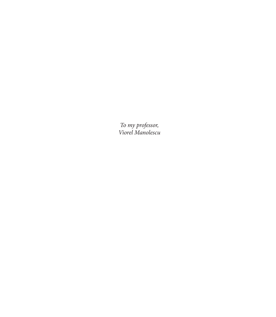*To my professor, Viorel Manolescu*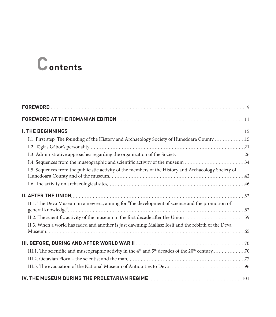## **Contents**

| I.1. First step. The founding of the History and Archaeology Society of Hunedoara County 15           |  |
|-------------------------------------------------------------------------------------------------------|--|
|                                                                                                       |  |
|                                                                                                       |  |
|                                                                                                       |  |
| I.5. Sequences from the publicistic activity of the members of the History and Archaeology Society of |  |
|                                                                                                       |  |
|                                                                                                       |  |
| II.1. The Deva Museum in a new era, aiming for "the development of science and the promotion of       |  |
|                                                                                                       |  |
| II.3. When a world has faded and another is just dawning: Mallász Iosif and the rebirth of the Deva   |  |
|                                                                                                       |  |
|                                                                                                       |  |
|                                                                                                       |  |
|                                                                                                       |  |
|                                                                                                       |  |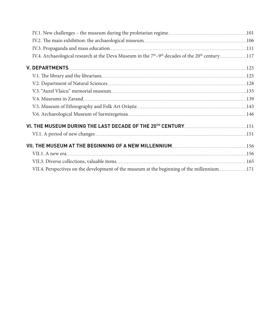| VII.4. Perspectives on the development of the museum at the beginning of the millennium171 |  |
|--------------------------------------------------------------------------------------------|--|